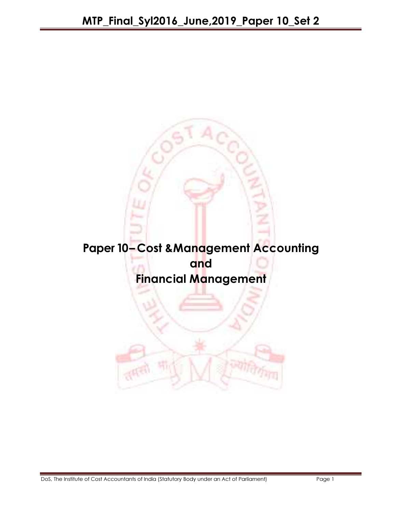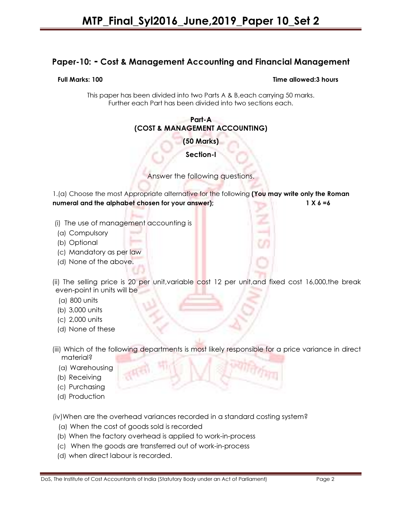# Paper-10: - Cost & Management Accounting and Financial Management

#### Full Marks: 100 Time allowed:3 hours

This paper has been divided into two Parts A & B,each carrying 50 marks. Further each Part has been divided into two sections each.

#### Part-A (COST & MANAGEMENT ACCOUNTING)

(50 Marks)

Section-I

Answer the following questions.

1.(a) Choose the most Appropriate alternative for the following (You may write only the Roman numeral and the alphabet chosen for your answer); 1 X 6 =6

- (i) The use of management accounting is
- (a) Compulsory
- (b) Optional
- (c) Mandatory as per law
- (d) None of the above.

 (ii) The selling price is 20 per unit,variable cost 12 per unit,and fixed cost 16,000,the break even-point in units will be

- (a) 800 units
- (b) 3,000 units
- (c) 2,000 units
- (d) None of these
- (iii) Which of the following departments is most likely responsible for a price variance in direct material?
	- (a) Warehousing
	- (b) Receiving
	- (c) Purchasing
	- (d) Production

(iv)When are the overhead variances recorded in a standard costing system?

- (a) When the cost of goods sold is recorded
- (b) When the factory overhead is applied to work-in-process
- (c) When the goods are transferred out of work-in-process
- (d) when direct labour is recorded.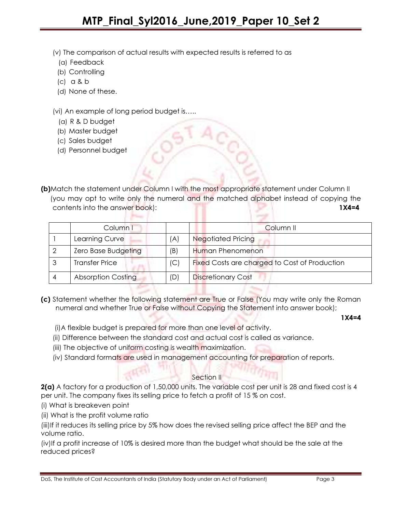(v) The comparison of actual results with expected results is referred to as

- (a) Feedback
- (b) Controlling
- (c) a & b
- (d) None of these.

(vi) An example of long period budget is…..

- (a) R & D budget
- (b) Master budget
- (c) Sales budget
- (d) Personnel budget

(b)Match the statement under Column I with the most appropriate statement under Column II (you may opt to write only the numeral and the matched alphabet instead of copying the contents into the answer book): 1X4=4

| Column I                  |     | Column <sub>II</sub>                          |
|---------------------------|-----|-----------------------------------------------|
| Learning Curve            | (A) | <b>Negotiated Pricing</b>                     |
| Zero Base Budgeting       | (B) | Human Phenomenon                              |
| <b>Transfer Price</b>     | (C) | Fixed Costs are charged to Cost of Production |
| <b>Absorption Costing</b> | (D) | <b>Discretionary Cost</b>                     |

(c) Statement whether the following statement are True or False (You may write only the Roman numeral and whether True or False without Copying the Statement into answer book);

1X4=4

(i)A flexible budget is prepared for more than one level of activity.

- (ii) Difference between the standard cost and actual cost is called as variance.
- (iii) The objective of uniform costing is wealth maximization.
- (iv) Standard formats are used in management accounting for preparation of reports.

### Section II

2(a) A factory for a production of 1,50,000 units. The variable cost per unit is 28 and fixed cost is 4 per unit. The company fixes its selling price to fetch a profit of 15 % on cost.

- (i) What is breakeven point
- (ii) What is the profit volume ratio

(iii)If it reduces its selling price by 5% how does the revised selling price affect the BEP and the volume ratio.

(iv)If a profit increase of 10% is desired more than the budget what should be the sale at the reduced prices?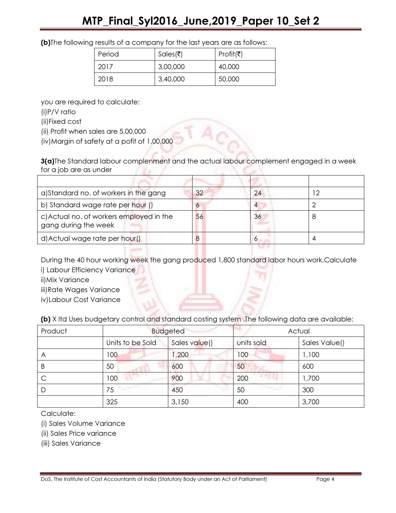|  |  | (b) The following results of a company for the last years are as follows: |
|--|--|---------------------------------------------------------------------------|
|--|--|---------------------------------------------------------------------------|

| Period | Sales(₹) | Profit(₹) |
|--------|----------|-----------|
| 2017   | 3,00,000 | 40,000    |
| 2018   | 3,40,000 | 50,000    |

you are required to calculate:

(i)P/V ratio

(ii)Fixed cost

(ii) Profit when sales are 5,00,000

(iv)Margin of safety at a pofit of 1,00,000

3(a)The Standard labour complenment and the actual labour complement engaged in a week for a job are as under

| a) Standard no. of workers in the gang                           | 32 | 24 |  |
|------------------------------------------------------------------|----|----|--|
| b) Standard wage rate per hour ()                                |    |    |  |
| c) Actual no. of workers employed in the<br>gang during the week | 56 | 36 |  |
| d) Actual wage rate per hour()                                   |    |    |  |

During the 40 hour working week the gang produced 1,800 standard labor hours work.Calculate i) Labour Efficiency Variance

ii)Mix Variance

iii)Rate Wages Variance

iv)Labour Cost Variance

(b) X ltd Uses budgetary control and standard costing system .The following data are available:

| Product | <b>Budgeted</b>  |               | Actual     |               |
|---------|------------------|---------------|------------|---------------|
|         | Units to be Sold | Sales value() | units sold | Sales Value() |
| A       | 100              | 1,200         | 100        | 1,100         |
| B       | 50               | 600           | 50         | 600           |
|         | 100              | 900           | 200        | 1,700         |
| D       | 75               | 450           | 50         | 300           |
|         | 325              | 3,150         | 400        | 3,700         |

Calculate:

(i) Sales Volume Variance

(ii) Sales Price variance

(iii) Sales Variance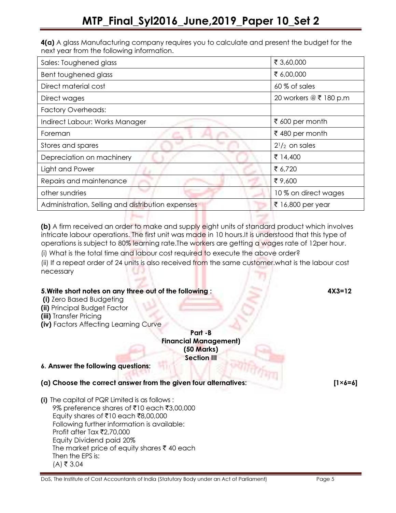4(a) A glass Manufacturing company requires you to calculate and present the budget for the next year from the following information.

| Sales: Toughened glass                            | ₹ 3,60,000             |
|---------------------------------------------------|------------------------|
| Bent toughened glass                              | ₹ 6,00,000             |
| Direct material cost                              | 60 % of sales          |
| Direct wages                                      | 20 workers @ ₹ 180 p.m |
| <b>Factory Overheads:</b>                         |                        |
| Indirect Labour: Works Manager                    | ₹ 600 per month        |
| Foreman                                           | ₹480 per month         |
| Stores and spares                                 | $2^{1}/2$ on sales     |
| Depreciation on machinery                         | ₹ 14,400               |
| Light and Power                                   | ₹ 6,720                |
| Repairs and maintenance                           | ₹9,600                 |
| other sundries                                    | 10 % on direct wages   |
| Administration, Selling and distribution expenses | ₹ 16,800 per year      |

(b) A firm received an order to make and supply eight units of standard product which involves intricate labour operations. The first unit was made in 10 hours.It is understood that this type of operations is subject to 80% learning rate.The workers are getting a wages rate of 12per hour.

(i) What is the total time and labour cost required to execute the above order? (ii) If a repeat order of 24 units is also received from the same customer.what is the labour cost

necessary

# 5.Write short notes on any three out of the following : 4X3=12

**Player** 

(i) Zero Based Budgeting

(ii) Principal Budget Factor

- (iii) Transfer Pricing
- (iv) Factors Affecting Learning Curve

#### Part -B Financial Management) (50 Marks) Section III

# 6. Answer the following questions:

(a) Choose the correct answer from the given four alternatives: [1×6=6]

(i) The capital of PQR Limited is as follows : 9% preference shares of ₹10 each ₹3,00,000 Equity shares of ₹10 each ₹8,00,000 Following further information is available: Profit after Tax  $\bar{\mathfrak{r}}$ 2,70,000 Equity Dividend paid 20% The market price of equity shares  $\bar{\tau}$  40 each Then the EPS is:  $(A)$  ₹ 3.04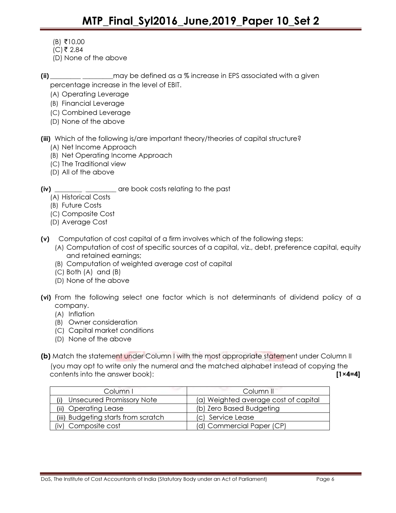- $(B)$  ₹10.00
- $(C)$ ₹ 2.84
- (D) None of the above
- (ii)  $\qquad \qquad$  may be defined as a % increase in EPS associated with a given percentage increase in the level of EBIT.
	- (A) Operating Leverage
	- (B) Financial Leverage
	- (C) Combined Leverage
	- (D) None of the above
- (iii) Which of the following is/are important theory/theories of capital structure?
	- (A) Net Income Approach
	- (B) Net Operating Income Approach
	- (C) The Traditional view
	- (D) All of the above
- (iv) \_\_\_\_\_\_\_\_ \_\_\_\_\_\_\_\_\_ are book costs relating to the past
	- (A) Historical Costs
	- (B) Future Costs
	- (C) Composite Cost
	- (D) Average Cost
- (v) Computation of cost capital of a firm involves which of the following steps:
	- (A) Computation of cost of specific sources of a capital, viz., debt, preference capital, equity and retained earnings;
	- (B) Computation of weighted average cost of capital
	- (C) Both (A) and (B)
	- (D) None of the above
- (vi) From the following select one factor which is not determinants of dividend policy of a company.
	- (A) Inflation
	- (B) Owner consideration
	- (C) Capital market conditions
	- (D) None of the above
- (b) Match the statement under Column I with the most appropriate statement under Column II (you may opt to write only the numeral and the matched alphabet instead of copying the contents into the answer book): [1×4=4]

| Column I                            | Column II                            |
|-------------------------------------|--------------------------------------|
| Unsecured Promissory Note           | (a) Weighted average cost of capital |
| (ii) Operating Lease                | (b) Zero Based Budgeting             |
| (iii) Budgeting starts from scratch | (c) Service Lease                    |
| Composite cost                      | (d) Commercial Paper (CP)            |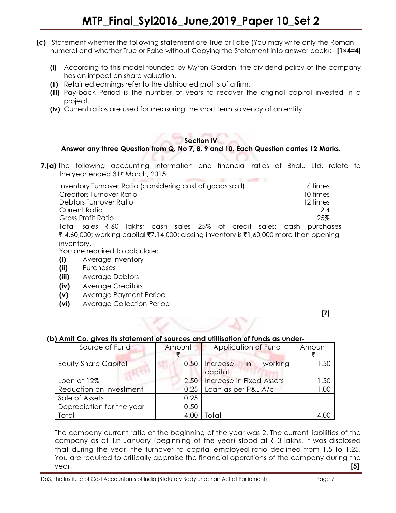- (c) Statement whether the following statement are True or False (You may write only the Roman numeral and whether True or False without Copying the Statement into answer book); [1×4=4]
	- (i) According to this model founded by Myron Gordon, the dividend policy of the company has an impact on share valuation.
	- (ii) Retained earnings refer to the distributed profits of a firm.
	- (iii) Pay-back Period is the number of years to recover the original capital invested in a project.
	- (iv) Current ratios are used for measuring the short term solvency of an entity.

# Section IV

# Answer any three Question from Q. No 7, 8, 9 and 10. Each Question carries 12 Marks.

**7.(a)** The following accounting information and financial ratios of Bhalu Ltd. relate to the year ended 31st March, 2015:

| Inventory Turnover Ratio (considering cost of goods sold)                               | 6 times  |
|-----------------------------------------------------------------------------------------|----------|
| Creditors Turnover Ratio                                                                | 10 times |
| Debtors Turnover Ratio                                                                  | 12 times |
| Current Ratio                                                                           | 2.4      |
| <b>Gross Profit Ratio</b>                                                               | 25%      |
| Total sales $\bar{\tau}$ 60 lakhs; cash sales 25% of credit sales; cash purchases       |          |
| ₹ 4,60,000; working capital ₹7,14,000; closing inventory is ₹1,60,000 more than opening |          |
| inventory.                                                                              |          |

You are required to calculate:

- (i) Average Inventory
- (ii) Purchases
- (iii) Average Debtors
- (iv) Average Creditors
- (v) Average Payment Period
- (vi) Average Collection Period

[7]

# (b) Amit Co. gives its statement of sources and utillisation of funds as under-

| Source of Fund              | Amount | Application of Fund                  | Amount |
|-----------------------------|--------|--------------------------------------|--------|
| <b>Equity Share Capital</b> | 0.50   | in<br>working<br>Increase<br>capital | 1.50   |
| Loan at 12%                 | 2.50   | Increase in Fixed Assets             | 1.50   |
| Reduction on Investment     | 0.25   | Loan as per P&L A/c                  | 1.00   |
| Sale of Assets              | 0.25   |                                      |        |
| Depreciation for the year   | 0.50   |                                      |        |
| Total                       | 4.00   | Total                                | 4.00   |

The company current ratio at the beginning of the year was 2. The current liabilities of the company as at 1st January (beginning of the year) stood at  $\bar{\tau}$  3 lakhs. It was disclosed that during the year, the turnover to capital employed ratio declined from 1.5 to 1.25. You are required to critically appraise the financial operations of the company during the year.  $[5]$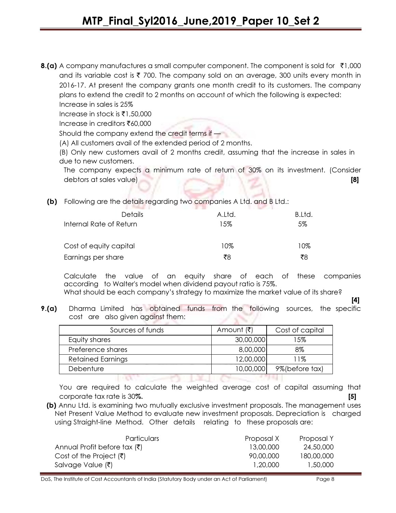**8.(a)** A company manufactures a small computer component. The component is sold for  $\bar{\tau}$ 1,000 and its variable cost is  $\bar{\tau}$  700. The company sold on an average, 300 units every month in 2016-17. At present the company grants one month credit to its customers. The company plans to extend the credit to 2 months on account of which the following is expected:

Increase in sales is 25% Increase in stock is  $\bar{x}$ 1,50,000

Increase in creditors  $\bar{x}$ 60,000

Should the company extend the credit terms if —

(A) All customers avail of the extended period of 2 months.

(B) Only new customers avail of 2 months credit, assuming that the increase in sales in due to new customers.

The company expects a minimum rate of return of 30% on its investment. (Consider debtors at sales value) [8]

(b) Following are the details regarding two companies A Ltd. and B Ltd.:

| Details                 | A.Ltd. | B.Ltd. |
|-------------------------|--------|--------|
| Internal Rate of Return | 15%    | 5%     |
| Cost of equity capital  | 10%    | 10%    |
| Earnings per share      | ₹8     | ₹8     |

Calculate the value of an equity share of each of these companies according to Walter's model when dividend payout ratio is 75%.

What should be each company's strategy to maximize the market value of its share? [4]

**9.(a)** Dharma Limited has obtained funds from the following sources, the specific cost are also given against them:

| Sources of funds         | Amount (₹) | Cost of capital |
|--------------------------|------------|-----------------|
| Equity shares            | 30,00,000  | 15%             |
| Preference shares        | 8,00,000   | 8%              |
| <b>Retained Earnings</b> | 12,00,000  | 11%             |
| Debenture                | 10,00,000  | 9%(before tax)  |
|                          |            |                 |

You are required to calculate the weighted average cost of capital assuming that corporate tax rate is 30%. [5]

(b) Annu Ltd. is examining two mutually exclusive investment proposals. The management uses Net Present Value Method to evaluate new investment proposals. Depreciation is charged using Straight-line Method. Other details relating to these proposals are:

| <b>Particulars</b>                       | Proposal X | Proposal Y |
|------------------------------------------|------------|------------|
| Annual Profit before tax $(\bar{\zeta})$ | 13.00.000  | 24,50,000  |
| Cost of the Project $(\bar{\mathbf{z}})$ | 90,00,000  | 180,00,000 |
| Salvage Value (₹)                        | 1.20.000   | 1,50,000   |

DoS, The Institute of Cost Accountants of India (Statutory Body under an Act of Parliament) Page 8